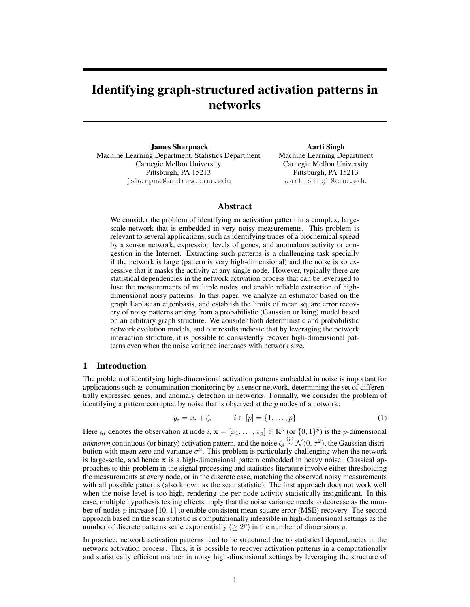# Identifying graph-structured activation patterns in networks

James Sharpnack Machine Learning Department, Statistics Department Carnegie Mellon University Pittsburgh, PA 15213 jsharpna@andrew.cmu.edu

Aarti Singh Machine Learning Department Carnegie Mellon University Pittsburgh, PA 15213 aartisingh@cmu.edu

# Abstract

We consider the problem of identifying an activation pattern in a complex, largescale network that is embedded in very noisy measurements. This problem is relevant to several applications, such as identifying traces of a biochemical spread by a sensor network, expression levels of genes, and anomalous activity or congestion in the Internet. Extracting such patterns is a challenging task specially if the network is large (pattern is very high-dimensional) and the noise is so excessive that it masks the activity at any single node. However, typically there are statistical dependencies in the network activation process that can be leveraged to fuse the measurements of multiple nodes and enable reliable extraction of highdimensional noisy patterns. In this paper, we analyze an estimator based on the graph Laplacian eigenbasis, and establish the limits of mean square error recovery of noisy patterns arising from a probabilistic (Gaussian or Ising) model based on an arbitrary graph structure. We consider both deterministic and probabilistic network evolution models, and our results indicate that by leveraging the network interaction structure, it is possible to consistently recover high-dimensional patterns even when the noise variance increases with network size.

## 1 Introduction

The problem of identifying high-dimensional activation patterns embedded in noise is important for applications such as contamination monitoring by a sensor network, determining the set of differentially expressed genes, and anomaly detection in networks. Formally, we consider the problem of identifying a pattern corrupted by noise that is observed at the  $p$  nodes of a network:

$$
y_i = x_i + \zeta_i \qquad i \in [p] = \{1, ..., p\}
$$
 (1)

Here  $y_i$  denotes the observation at node  $i, \mathbf{x} = [x_1, \dots, x_p] \in \mathbb{R}^p$  (or  $\{0, 1\}^p$ ) is the *p*-dimensional *unknown* continuous (or binary) activation pattern, and the noise  $\zeta_i \stackrel{\text{iid}}{\sim} \mathcal{N}(0,\sigma^2)$ , the Gaussian distribution with mean zero and variance  $\sigma^2$ . This problem is particularly challenging when the network is large-scale, and hence  $x$  is a high-dimensional pattern embedded in heavy noise. Classical approaches to this problem in the signal processing and statistics literature involve either thresholding the measurements at every node, or in the discrete case, matching the observed noisy measurements with all possible patterns (also known as the scan statistic). The first approach does not work well when the noise level is too high, rendering the per node activity statistically insignificant. In this case, multiple hypothesis testing effects imply that the noise variance needs to decrease as the number of nodes  $p$  increase [10, 1] to enable consistent mean square error (MSE) recovery. The second approach based on the scan statistic is computationally infeasible in high-dimensional settings as the number of discrete patterns scale exponentially  $( \geq 2^p)$  in the number of dimensions p.

In practice, network activation patterns tend to be structured due to statistical dependencies in the network activation process. Thus, it is possible to recover activation patterns in a computationally and statistically efficient manner in noisy high-dimensional settings by leveraging the structure of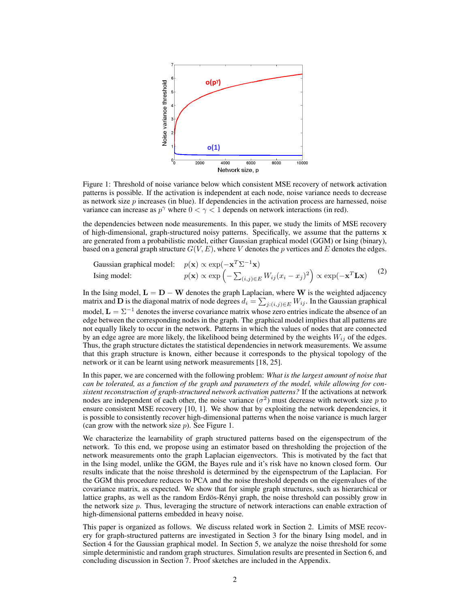

Figure 1: Threshold of noise variance below which consistent MSE recovery of network activation patterns is possible. If the activation is independent at each node, noise variance needs to decrease as network size  $p$  increases (in blue). If dependencies in the activation process are harnessed, noise variance can increase as  $p^{\gamma}$  where  $0 < \gamma < 1$  depends on network interactions (in red).

the dependencies between node measurements. In this paper, we study the limits of MSE recovery of high-dimensional, graph-structured noisy patterns. Specifically, we assume that the patterns x are generated from a probabilistic model, either Gaussian graphical model (GGM) or Ising (binary), based on a general graph structure  $G(V, E)$ , where V denotes the p vertices and E denotes the edges.

Gaussian graphical model: 
$$
p(\mathbf{x}) \propto \exp(-\mathbf{x}^T \Sigma^{-1} \mathbf{x})
$$
  
Ising model:  $p(\mathbf{x}) \propto \exp(-\sum_{(i,j) \in E} W_{ij}(x_i - x_j)^2) \propto \exp(-\mathbf{x}^T \mathbf{L} \mathbf{x})$  (2)

In the Ising model,  $L = D - W$  denotes the graph Laplacian, where W is the weighted adjacency matrix and D is the diagonal matrix of node degrees  $d_i = \sum_{j:(i,j)\in E} W_{ij}$ . In the Gaussian graphical model,  $\mathbf{L} = \Sigma^{-1}$  denotes the inverse covariance matrix whose zero entries indicate the absence of an edge between the corresponding nodes in the graph. The graphical model implies that all patterns are not equally likely to occur in the network. Patterns in which the values of nodes that are connected by an edge agree are more likely, the likelihood being determined by the weights  $W_{ij}$  of the edges. Thus, the graph structure dictates the statistical dependencies in network measurements. We assume that this graph structure is known, either because it corresponds to the physical topology of the network or it can be learnt using network measurements [18, 25].

In this paper, we are concerned with the following problem: *What is the largest amount of noise that can be tolerated, as a function of the graph and parameters of the model, while allowing for consistent reconstruction of graph-structured network activation patterns?* If the activations at network nodes are independent of each other, the noise variance  $(\sigma^2)$  must decrease with network size p to ensure consistent MSE recovery [10, 1]. We show that by exploiting the network dependencies, it is possible to consistently recover high-dimensional patterns when the noise variance is much larger (can grow with the network size  $p$ ). See Figure 1.

We characterize the learnability of graph structured patterns based on the eigenspectrum of the network. To this end, we propose using an estimator based on thresholding the projection of the network measurements onto the graph Laplacian eigenvectors. This is motivated by the fact that in the Ising model, unlike the GGM, the Bayes rule and it's risk have no known closed form. Our results indicate that the noise threshold is determined by the eigenspectrum of the Laplacian. For the GGM this procedure reduces to PCA and the noise threshold depends on the eigenvalues of the covariance matrix, as expected. We show that for simple graph structures, such as hierarchical or lattice graphs, as well as the random Erdös-Rényi graph, the noise threshold can possibly grow in the network size p. Thus, leveraging the structure of network interactions can enable extraction of high-dimensional patterns embedded in heavy noise.

This paper is organized as follows. We discuss related work in Section 2. Limits of MSE recovery for graph-structured patterns are investigated in Section 3 for the binary Ising model, and in Section 4 for the Gaussian graphical model. In Section 5, we analyze the noise threshold for some simple deterministic and random graph structures. Simulation results are presented in Section 6, and concluding discussion in Section 7. Proof sketches are included in the Appendix.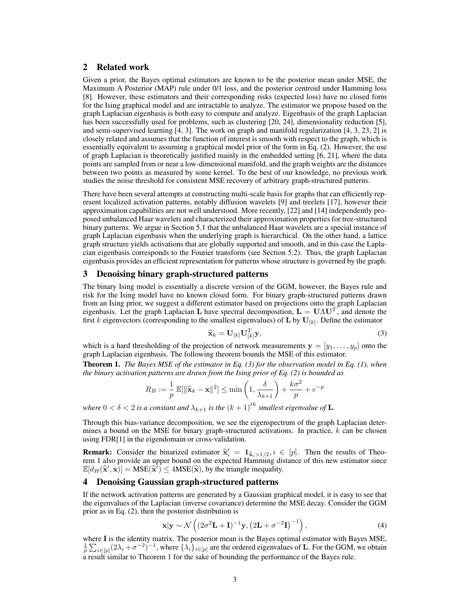# 2 Related work

Given a prior, the Bayes optimal estimators are known to be the posterior mean under MSE, the Maximum A Posterior (MAP) rule under 0/1 loss, and the posterior centroid under Hamming loss [8]. However, these estimators and their corresponding risks (expected loss) have no closed form for the Ising graphical model and are intractable to analyze. The estimator we propose based on the graph Laplacian eigenbasis is both easy to compute and analyze. Eigenbasis of the graph Laplacian has been successfully used for problems, such as clustering [20, 24], dimensionality reduction [5], and semi-supervised learning [4, 3]. The work on graph and manifold regularization [4, 3, 23, 2] is closely related and assumes that the function of interest is smooth with respect to the graph, which is essentially equivalent to assuming a graphical model prior of the form in Eq. (2). However, the use of graph Laplacian is theoretically justified mainly in the embedded setting [6, 21], where the data points are sampled from or near a low-dimensional manifold, and the graph weights are the distances between two points as measured by some kernel. To the best of our knowledge, no previous work studies the noise threshold for consistent MSE recovery of arbitrary graph-structured patterns.

There have been several attempts at constructing multi-scale basis for graphs that can efficiently represent localized activation patterns, notably diffusion wavelets [9] and treelets [17], however their approximation capabilities are not well understood. More recently, [22] and [14] independently proposed unbalanced Haar wavelets and characterized their approximation properties for tree-structured binary patterns. We argue in Section 5.1 that the unbalanced Haar wavelets are a special instance of graph Laplacian eigenbasis when the underlying graph is hierarchical. On the other hand, a lattice graph structure yields activations that are globally supported and smooth, and in this case the Laplacian eigenbasis corresponds to the Fourier transform (see Section 5.2). Thus, the graph Laplacian eigenbasis provides an efficient representation for patterns whose structure is governed by the graph.

# 3 Denoising binary graph-structured patterns

The binary Ising model is essentially a discrete version of the GGM, however, the Bayes rule and risk for the Ising model have no known closed form. For binary graph-structured patterns drawn from an Ising prior, we suggest a different estimator based on projections onto the graph Laplacian eigenbasis. Let the graph Laplacian L have spectral decomposition,  $L = U \Lambda U^T$ , and denote the first k eigenvectors (corresponding to the smallest eigenvalues) of **L** by  $U_{[k]}$ . Define the estimator

$$
\widehat{\mathbf{x}}_k = \mathbf{U}_{[k]}\mathbf{U}_{[k]}^T\mathbf{y},\tag{3}
$$

which is a hard thresholding of the projection of network measurements  $y = [y_1, \ldots, y_p]$  onto the graph Laplacian eigenbasis. The following theorem bounds the MSE of this estimator.

Theorem 1. *The Bayes MSE of the estimator in Eq. (3) for the observation model in Eq. (1), when the binary activation patterns are drawn from the Ising prior of Eq. (2) is bounded as*

$$
R_B := \frac{1}{p} \mathbb{E}[\|\widehat{\mathbf{x}}_k - \mathbf{x}\|^2] \le \min\left(1, \frac{\delta}{\lambda_{k+1}}\right) + \frac{k\sigma^2}{p} + e^{-p}
$$

*where*  $0 < \delta < 2$  *is a constant and*  $\lambda_{k+1}$  *is the*  $(k+1)$ <sup>th</sup> *smallest eigenvalue of* **L**.

Through this bias-variance decomposition, we see the eigenspectrum of the graph Laplacian determines a bound on the MSE for binary graph-structured activations. In practice,  $k$  can be chosen using FDR[1] in the eigendomain or cross-validation.

**Remark:** Consider the binarized estimator  $\hat{\mathbf{x}}_i^i = \mathbf{1}_{\hat{\mathbf{x}}_i > 1/2}, i \in [p]$ . Then the results of Theo-<br>rem 1 also provide an unper bound on the expected Hamming distance of this new estimator since rem 1 also provide an upper bound on the expected Hamming distance of this new estimator since  $\mathbb{E}[d_H(\hat{\mathbf{x}}', \mathbf{x})] = \text{MSE}(\hat{\mathbf{x}}') \le 4\text{MSE}(\hat{\mathbf{x}})$ , by the triangle inequality.

## 4 Denoising Gaussian graph-structured patterns

If the network activation patterns are generated by a Gaussian graphical model, it is easy to see that the eigenvalues of the Laplacian (inverse covariance) determine the MSE decay. Consider the GGM prior as in Eq. (2), then the posterior distribution is

$$
\mathbf{x}|\mathbf{y} \sim \mathcal{N}\left( (2\sigma^2 \mathbf{L} + \mathbf{I})^{-1} \mathbf{y}, \left(2\mathbf{L} + \sigma^{-2} \mathbf{I}\right)^{-1} \right),\tag{4}
$$

where I is the identity matrix. The posterior mean is the Bayes optimal estimator with Bayes MSE,  $\frac{1}{p}\sum_{i\in[p]}(2\lambda_i+\sigma^{-2})^{-1}$ , where  $\{\lambda_i\}_{i\in[p]}$  are the ordered eigenvalues of **L**. For the GGM, we obtain a result similar to Theorem 1 for the sake of bounding the performance of the Bayes rule.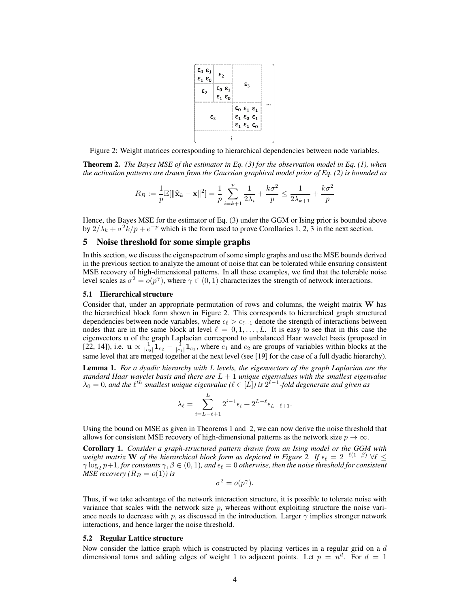

Figure 2: Weight matrices corresponding to hierarchical dependencies between node variables.

Theorem 2. *The Bayes MSE of the estimator in Eq. (3) for the observation model in Eq. (1), when the activation patterns are drawn from the Gaussian graphical model prior of Eq. (2) is bounded as*

$$
R_B:=\frac{1}{p}\mathbb{E}[\|\widehat{\mathbf{x}}_k-\mathbf{x}\|^2]=\frac{1}{p}\sum_{i=k+1}^p\frac{1}{2\lambda_i}+\frac{k\sigma^2}{p}\leq\frac{1}{2\lambda_{k+1}}+\frac{k\sigma^2}{p}
$$

Hence, the Bayes MSE for the estimator of Eq. (3) under the GGM or Ising prior is bounded above by  $2/\lambda_k + \sigma^2 k/p + e^{-p}$  which is the form used to prove Corollaries 1, 2, 3 in the next section.

## 5 Noise threshold for some simple graphs

In this section, we discuss the eigenspectrum of some simple graphs and use the MSE bounds derived in the previous section to analyze the amount of noise that can be tolerated while ensuring consistent MSE recovery of high-dimensional patterns. In all these examples, we find that the tolerable noise level scales as  $\sigma^2 = o(p^{\gamma})$ , where  $\gamma \in (0, 1)$  characterizes the strength of network interactions.

#### 5.1 Hierarchical structure

Consider that, under an appropriate permutation of rows and columns, the weight matrix W has the hierarchical block form shown in Figure 2. This corresponds to hierarchical graph structured dependencies between node variables, where  $\epsilon_{\ell} > \epsilon_{\ell+1}$  denote the strength of interactions between nodes that are in the same block at level  $\ell = 0, 1, \ldots, L$ . It is easy to see that in this case the eigenvectors u of the graph Laplacian correspond to unbalanced Haar wavelet basis (proposed in [22, 14]), i.e.  $\mathbf{u} \propto \frac{1}{|c_2|} \mathbf{1}_{c_2} - \frac{1}{|c_1|} \mathbf{1}_{c_1}$ , where  $c_1$  and  $c_2$  are groups of variables within blocks at the same level that are merged together at the next level (see [19] for the case of a full dyadic hierarchy).

Lemma 1. *For a dyadic hierarchy with* L *levels, the eigenvectors of the graph Laplacian are the standard Haar wavelet basis and there are* L + 1 *unique eigenvalues with the smallest eigenvalue*  $\lambda_0 = 0$ , and the  $\ell^{th}$  smallest unique eigenvalue ( $\ell \in [\hat{L}]$ ) is  $2^{\ell-1}$ -fold degenerate and given as

$$
\lambda_{\ell} = \sum_{i=L-\ell+1}^{L} 2^{i-1} \epsilon_i + 2^{L-\ell} \epsilon_{L-\ell+1}.
$$

Using the bound on MSE as given in Theorems 1 and 2, we can now derive the noise threshold that allows for consistent MSE recovery of high-dimensional patterns as the network size  $p \to \infty$ .

Corollary 1. *Consider a graph-structured pattern drawn from an Ising model or the GGM with weight matrix* W *of the hierarchical block form as depicted in Figure 2. If*  $\epsilon_{\ell} = 2^{-\ell(1-\beta)} \ \forall \ell \leq$  $\gamma \log_2 p+1$ *, for constants*  $\gamma, \beta \in (0,1)$ *, and*  $\epsilon_\ell = 0$  *otherwise, then the noise threshold for consistent MSE recovery*  $(R_B = o(1))$  *is* 

$$
\sigma^2 = o(p^{\gamma}).
$$

Thus, if we take advantage of the network interaction structure, it is possible to tolerate noise with variance that scales with the network size  $p$ , whereas without exploiting structure the noise variance needs to decrease with p, as discussed in the introduction. Larger  $\gamma$  implies stronger network interactions, and hence larger the noise threshold.

#### 5.2 Regular Lattice structure

Now consider the lattice graph which is constructed by placing vertices in a regular grid on a  $d$ dimensional torus and adding edges of weight 1 to adjacent points. Let  $p = n<sup>d</sup>$ . For  $d = 1$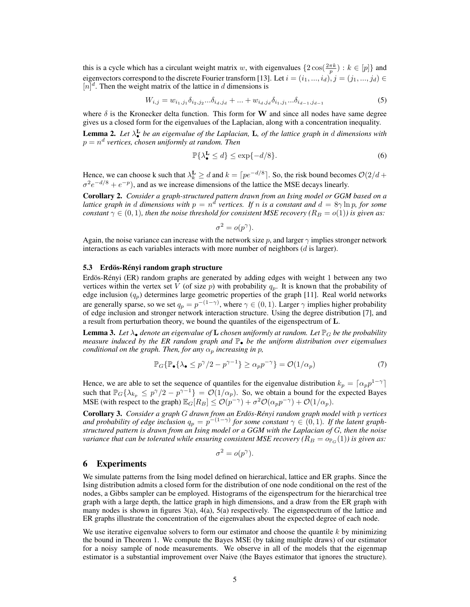this is a cycle which has a circulant weight matrix w, with eigenvalues  $\{2\cos(\frac{2\pi k}{p}) : k \in [p]\}$  and eigenvectors correspond to the discrete Fourier transform [13]. Let  $i = (i_1, ..., i_d)$ ,  $j = (j_1, ..., j_d)$  $[n]$ <sup>d</sup>. Then the weight matrix of the lattice in d dimensions is

$$
W_{i,j} = w_{i_1,j_1} \delta_{i_2,j_2} \dots \delta_{i_d,j_d} + \dots + w_{i_d,j_d} \delta_{i_1,j_1} \dots \delta_{i_{d-1},j_{d-1}}
$$
\n
$$
\tag{5}
$$

where  $\delta$  is the Kronecker delta function. This form for W and since all nodes have same degree gives us a closed form for the eigenvalues of the Laplacian, along with a concentration inequality.

Lemma 2. *Let* λ L • *be an eigenvalue of the Laplacian,* L*, of the lattice graph in* d *dimensions with*  $p = n^d$  vertices, chosen uniformly at random. Then

$$
\mathbb{P}\{\lambda_{\bullet}^{\mathbf{L}}\leq d\}\leq \exp\{-d/8\}.\tag{6}
$$

Hence, we can choose k such that  $\lambda_k^{\mathbf{L}} \geq d$  and  $k = \lceil pe^{-d/8} \rceil$ . So, the risk bound becomes  $\mathcal{O}(2/d +$  $\sigma^2 e^{-d/8} + e^{-p}$ ), and as we increase dimensions of the lattice the MSE decays linearly.

Corollary 2. *Consider a graph-structured pattern drawn from an Ising model or GGM based on a lattice graph in d dimensions with*  $p = n^d$  vertices. If n is a constant and  $d = 8\gamma \ln p$ , for some *constant*  $\gamma \in (0, 1)$ *, then the noise threshold for consistent MSE recovery* ( $R_B = o(1)$ ) is given as:

$$
\sigma^2 = o(p^{\gamma}).
$$

Again, the noise variance can increase with the network size p, and larger  $\gamma$  implies stronger network interactions as each variables interacts with more number of neighbors  $(d \text{ is larger}).$ 

#### 5.3 Erdös-Rényi random graph structure

Erdös-Rényi (ER) random graphs are generated by adding edges with weight 1 between any two vertices within the vertex set  $\tilde{V}$  (of size p) with probability  $q_p$ . It is known that the probability of edge inclusion  $(q_p)$  determines large geometric properties of the graph [11]. Real world networks are generally sparse, so we set  $q_p = p^{-(1-\gamma)}$ , where  $\gamma \in (0,1)$ . Larger  $\gamma$  implies higher probability of edge inclusion and stronger network interaction structure. Using the degree distribution [7], and a result from perturbation theory, we bound the quantiles of the eigenspectrum of L.

**Lemma 3.** Let  $\lambda_{\bullet}$  denote an eigenvalue of **L** chosen uniformly at random. Let  $\mathbb{P}_G$  be the probability *measure induced by the ER random graph and* P• *be the uniform distribution over eigenvalues conditional on the graph. Then, for any*  $\alpha_p$  *increasing in* p,

$$
\mathbb{P}_G\{\mathbb{P}_{\bullet}\{\lambda_{\bullet} \le p^{\gamma}/2 - p^{\gamma - 1}\} \ge \alpha_p p^{-\gamma}\} = \mathcal{O}(1/\alpha_p) \tag{7}
$$

Hence, we are able to set the sequence of quantiles for the eigenvalue distribution  $k_p = \lceil \alpha_p p^{1-\gamma} \rceil$ such that  $\mathbb{P}_G\{\lambda_{k_p} \leq p^{\gamma}/2 - p^{\gamma-1}\} = \mathcal{O}(1/\alpha_p)$ . So, we obtain a bound for the expected Bayes MSE (with respect to the graph)  $\mathbb{E}_G[R_B] \le \mathcal{O}(p^{-\gamma}) + \sigma^2 \mathcal{O}(\alpha_p p^{-\gamma}) + \mathcal{O}(1/\alpha_p)$ .

Corollary 3. *Consider a graph* G *drawn from an Erdos-R ¨ enyi random graph model with ´* p *vertices* and probability of edge inclusion  $q_p = p^{-(1-\gamma)}$  for some constant  $\gamma \in (0,1)$ . If the latent graph*structured pattern is drawn from an Ising model or a GGM with the Laplacian of* G*, then the noise variance that can be tolerated while ensuring consistent MSE recovery (* $R_B = o_{\mathbb{P}_G}(1)$ *) is given as:* 

$$
\sigma^2 = o(p^{\gamma}).
$$

### 6 Experiments

We simulate patterns from the Ising model defined on hierarchical, lattice and ER graphs. Since the Ising distribution admits a closed form for the distribution of one node conditional on the rest of the nodes, a Gibbs sampler can be employed. Histograms of the eigenspectrum for the hierarchical tree graph with a large depth, the lattice graph in high dimensions, and a draw from the ER graph with many nodes is shown in figures  $3(a)$ ,  $4(a)$ ,  $5(a)$  respectively. The eigenspectrum of the lattice and ER graphs illustrate the concentration of the eigenvalues about the expected degree of each node.

We use iterative eigenvalue solvers to form our estimator and choose the quantile  $k$  by minimizing the bound in Theorem 1. We compute the Bayes MSE (by taking multiple draws) of our estimator for a noisy sample of node measurements. We observe in all of the models that the eigenmap estimator is a substantial improvement over Naive (the Bayes estimator that ignores the structure).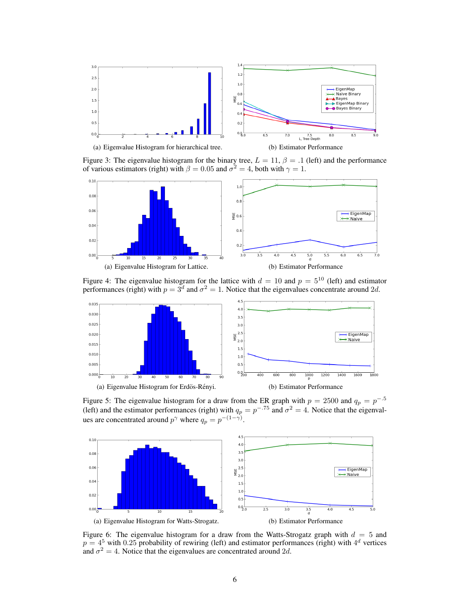

Figure 3: The eigenvalue histogram for the binary tree,  $L = 11$ ,  $\beta = .1$  (left) and the performance of various estimators (right) with  $\beta = 0.05$  and  $\sigma^2 = 4$ , both with  $\gamma = 1$ .



Figure 4: The eigenvalue histogram for the lattice with  $d = 10$  and  $p = 5^{10}$  (left) and estimator performances (right) with  $p = 3^d$  and  $\sigma^2 = 1$ . Notice that the eigenvalues concentrate around 2d.



(a) Eigenvalue Histogram for Erdös-Rényi. (b) Estimator Performance



Figure 5: The eigenvalue histogram for a draw from the ER graph with  $p = 2500$  and  $q_p = p^{-0.5}$ (left) and the estimator performances (right) with  $q_p = p^{-0.75}$  and  $\sigma^2 = 4$ . Notice that the eigenvalues are concentrated around  $p^{\gamma}$  where  $q_p = p^{-(1-\gamma)}$ .



Figure 6: The eigenvalue histogram for a draw from the Watts-Strogatz graph with  $d = 5$  and  $p = 4^5$  with 0.25 probability of rewiring (left) and estimator performances (right) with  $4^d$  vertices and  $\sigma^2 = 4$ . Notice that the eigenvalues are concentrated around 2d.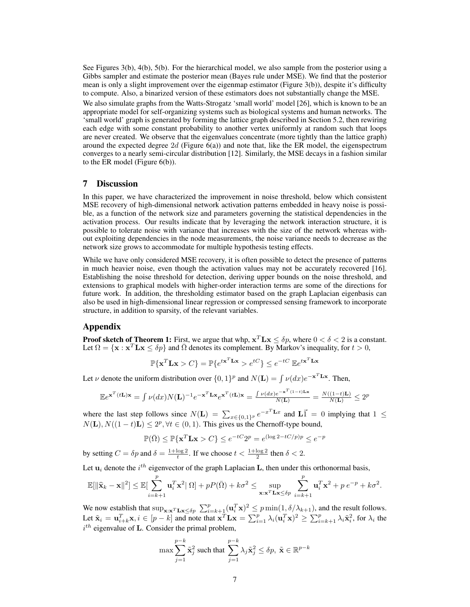See Figures 3(b), 4(b), 5(b). For the hierarchical model, we also sample from the posterior using a Gibbs sampler and estimate the posterior mean (Bayes rule under MSE). We find that the posterior mean is only a slight improvement over the eigenmap estimator (Figure 3(b)), despite it's difficulty to compute. Also, a binarized version of these estimators does not substantially change the MSE. We also simulate graphs from the Watts-Strogatz 'small world' model [26], which is known to be an appropriate model for self-organizing systems such as biological systems and human networks. The 'small world' graph is generated by forming the lattice graph described in Section 5.2, then rewiring each edge with some constant probability to another vertex uniformly at random such that loops are never created. We observe that the eigenvalues concentrate (more tightly than the lattice graph) around the expected degree  $2d$  (Figure 6(a)) and note that, like the ER model, the eigenspectrum converges to a nearly semi-circular distribution [12]. Similarly, the MSE decays in a fashion similar to the ER model (Figure 6(b)).

## 7 Discussion

In this paper, we have characterized the improvement in noise threshold, below which consistent MSE recovery of high-dimensional network activation patterns embedded in heavy noise is possible, as a function of the network size and parameters governing the statistical dependencies in the activation process. Our results indicate that by leveraging the network interaction structure, it is possible to tolerate noise with variance that increases with the size of the network whereas without exploiting dependencies in the node measurements, the noise variance needs to decrease as the network size grows to accommodate for multiple hypothesis testing effects.

While we have only considered MSE recovery, it is often possible to detect the presence of patterns in much heavier noise, even though the activation values may not be accurately recovered [16]. Establishing the noise threshold for detection, deriving upper bounds on the noise threshold, and extensions to graphical models with higher-order interaction terms are some of the directions for future work. In addition, the thresholding estimator based on the graph Laplacian eigenbasis can also be used in high-dimensional linear regression or compressed sensing framework to incorporate structure, in addition to sparsity, of the relevant variables.

## Appendix

**Proof sketch of Theorem 1:** First, we argue that whp,  $x^T L x \leq \delta p$ , where  $0 < \delta < 2$  is a constant. Let  $\Omega = {\mathbf{x} : \mathbf{x}^T \mathbf{L} \mathbf{x} \leq \delta p}$  and  $\overline{\Omega}$  denotes its complement. By Markov's inequality, for  $t > 0$ ,

$$
\mathbb{P}\{\mathbf{x}^T \mathbf{L} \mathbf{x} > C\} = \mathbb{P}\{e^{t\mathbf{x}^T \mathbf{L} \mathbf{x}} > e^{tC}\} \le e^{-tC} \mathbb{E}e^{t\mathbf{x}^T \mathbf{L} \mathbf{x}}
$$

Let  $\nu$  denote the uniform distribution over  $\{0, 1\}^p$  and  $N(L) = \int \nu(dx) e^{-\mathbf{x}^T L \mathbf{x}}$ . Then,

$$
\mathbb{E}e^{\mathbf{x}^T(t\mathbf{L})\mathbf{x}} = \int \nu(dx)N(\mathbf{L})^{-1}e^{-\mathbf{x}^T\mathbf{L}\mathbf{x}}e^{\mathbf{x}^T(t\mathbf{L})\mathbf{x}} = \frac{\int \nu(dx)e^{-\mathbf{x}^T(1-t)\mathbf{L}\mathbf{x}}}{N(\mathbf{L})} = \frac{N((1-t)\mathbf{L})}{N(\mathbf{L})} \le 2^p
$$

where the last step follows since  $N(L) = \sum_{x \in \{0,1\}^p} e^{-x^T L x}$  and  $\overline{L} \cdot \overline{I} = 0$  implying that  $1 \leq$  $N(L)$ ,  $N((1-t)L) \leq 2^p$ ,  $\forall t \in (0,1)$ . This gives us the Chernoff-type bound,

$$
\mathbb{P}(\bar{\Omega}) \le \mathbb{P}\{\mathbf{x}^T \mathbf{L} \mathbf{x} > C\} \le e^{-tC} 2^p = e^{(\log 2 - tC/p)p} \le e^{-p}
$$

by setting  $C = \delta p$  and  $\delta = \frac{1 + \log 2}{t}$ . If we choose  $t < \frac{1 + \log 2}{2}$  then  $\delta < 2$ .

Let  $\mathbf{u}_i$  denote the  $i^{th}$  eigenvector of the graph Laplacian L, then under this orthonormal basis,

$$
\mathbb{E}[\|\widehat{\mathbf{x}}_k - \mathbf{x}\|^2] \le \mathbb{E}[\sum_{i=k+1}^p \mathbf{u}_i^T \mathbf{x}^2 | \Omega] + pP(\bar{\Omega}) + k\sigma^2 \le \sup_{\mathbf{x}:\mathbf{x}^T \mathbf{L} \mathbf{x} \le \delta p} \sum_{i=k+1}^p \mathbf{u}_i^T \mathbf{x}^2 + p e^{-p} + k\sigma^2.
$$

We now establish that  $\sup_{\mathbf{x}:\mathbf{x}^T\mathbf{L}\mathbf{x}\leq\delta p} \sum_{i=k+1}^p (\mathbf{u}_i^T\mathbf{x})^2 \leq p \min(1, \delta/\lambda_{k+1})$ , and the result follows. Let  $\tilde{\mathbf{x}}_i = \mathbf{u}_{i+k}^T \mathbf{x}, i \in [p-k]$  and note that  $\mathbf{x}^T \mathbf{L} \mathbf{x} = \sum_{i=1}^p \lambda_i (\mathbf{u}_i^T \mathbf{x})^2 \ge \sum_{i=k+1}^p \lambda_i \tilde{\mathbf{x}}_i^2$ , for  $\lambda_i$  the  $i^{th}$  eigenvalue of L. Consider the primal problem,

$$
\max \sum_{j=1}^{p-k} \tilde{\mathbf{x}}_j^2 \text{ such that } \sum_{j=1}^{p-k} \lambda_j \tilde{\mathbf{x}}_j^2 \le \delta p, \ \tilde{\mathbf{x}} \in \mathbb{R}^{p-k}
$$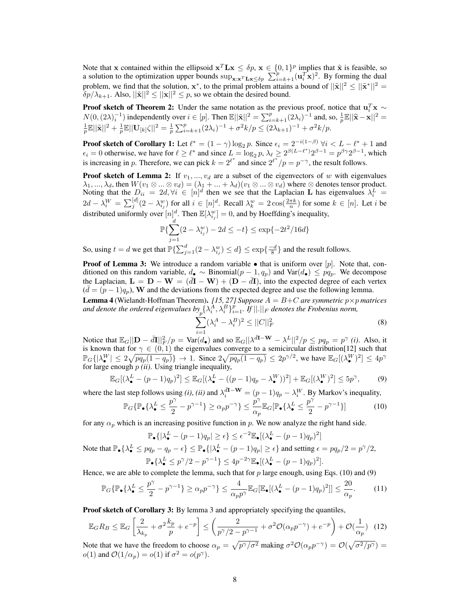Note that x contained within the ellipsoid  $x^T L x \leq \delta p$ ,  $x \in \{0, 1\}^p$  implies that  $\tilde{x}$  is feasible, so a solution to the optimization upper bounds  $\sup_{\mathbf{x}:\mathbf{x}^T\mathbf{L}\mathbf{x}\leq\delta p}$   $\sum_{i=k+1}^p (\mathbf{u}_i^T\mathbf{x})^2$ . By forming the dual problem, we find that the solution,  $x^*$ , to the primal problem attains a bound of  $||\tilde{x}||^2 \le ||\tilde{x}^*||^2 =$  $\delta p/\lambda_{k+1}$ . Also,  $||\tilde{\mathbf{x}}||^2 \leq ||\mathbf{x}||^2 \leq p$ , so we obtain the desired bound.

**Proof sketch of Theorem 2:** Under the same notation as the previous proof, notice that  $\mathbf{u}_i^T \mathbf{x} \sim$  $N(0, (2\lambda)^{-1}_i)$  independently over  $i \in [p]$ . Then  $\mathbb{E}||\tilde{\mathbf{x}}||^2 = \sum_{i=k+1}^p (2\lambda_i)^{-1}$  and, so,  $\frac{1}{p} \mathbb{E}||\hat{\mathbf{x}} - \mathbf{x}||^2 = \frac{1}{p} \mathbb{E}||\mathbf{x}||^2 + \frac{1}{p} \mathbb{E}||\mathbf{U}_{[k]} \zeta||^2 = \frac{1}{p} \sum_{i=k+1}^p (2\lambda_i)^{-1} + \sigma^2 k/p \le$ 

**Proof sketch of Corollary 1:** Let  $\ell^* = (1 - \gamma) \log_2 p$ . Since  $\epsilon_i = 2^{-i(1-\beta)} \forall i \lt L - \ell^* + 1$  and  $\epsilon_i = 0$  otherwise, we have for  $\ell \geq \ell^*$  and since  $L = \log_2 p$ ,  $\lambda_{\ell} \geq 2^{\beta(L-\ell^*)} 2^{\beta-1} = p^{\beta \gamma} 2^{\beta-1}$ , which is increasing in p. Therefore, we can pick  $k = 2^{\ell^*}$  and since  $2^{\ell^*}/p = p^{-\gamma}$ , the result follows.

**Proof sketch of Lemma 2:** If  $v_1, ..., v_d$  are a subset of the eigenvectors of w with eigenvalues  $\lambda_1, ..., \lambda_d$ , then  $W(v_1 \otimes ... \otimes v_d) = (\lambda_1 + ... + \lambda_d)(v_1 \otimes ... \otimes v_d)$  where  $\otimes$  denotes tensor product. Noting that the  $D_{ii} = 2d, \forall i \in [n]^d$  then we see that the Laplacian L has eigenvalues  $\lambda_i^L =$  $2d - \lambda_i^W = \sum_j^{[d]} (2 - \lambda_{i_j}^w)$  for all  $i \in [n]^d$ . Recall  $\lambda_k^w = 2\cos(\frac{2\pi k}{n})$  for some  $k \in [n]$ . Let i be distributed uniformly over  $[n]_d^d$ . Then  $\mathbb{E}[\lambda_{i_j}^w] = 0$ , and by Hoeffding's inequality,

$$
\mathbb{P}\{\sum_{j=1}^{u} (2 - \lambda_{i_j}^{w}) - 2d \le -t\} \le \exp\{-2t^2/16d\}
$$

So, using  $t = d$  we get that  $\mathbb{P}\left\{\sum_{j=1}^d (2 - \lambda_{i_j}^w) \le d\right\} \le \exp\left\{\frac{-d}{8}\right\}$  and the result follows.

**Proof of Lemma 3:** We introduce a random variable  $\bullet$  that is uniform over [p]. Note that, conditioned on this random variable,  $d_{\bullet} \sim \text{Binomial}(p-1, q_p)$  and  $\text{Var}(d_{\bullet}) \leq pq_p$ . We decompose the Laplacian,  $\mathbf{L} = \mathbf{D} - \mathbf{W} = (d\mathbf{I} - \mathbf{W}) + (\mathbf{D} - d\mathbf{I})$ , into the expected degree of each vertex  $(\bar{d} = (p-1)q_p)$ , W and the deviations from the expected degree and use the following lemma.

**Lemma 4** (Wielandt-Hoffman Theorem). *[15, 27] Suppose*  $A = B+C$  *are symmetric*  $p \times p$  *matrices* and denote the ordered eigenvalues  $b_y \{ \lambda_i^A, \lambda_i^B \}_{i=1}^p$ . If  $||.||_F$  denotes the Frobenius norm,<br>  $\sum (\lambda_i^A - \lambda_i^B)^2 \leq ||C||_F^2$ 

$$
\sum_{i=1}^{N} (\lambda_i^A - \lambda_i^B)^2 \le ||C||_F^2
$$
\n(8)

Notice that  $\mathbb{E}_G ||\mathbf{D} - \bar{d}\mathbf{I}||_F^2/p = \text{Var}(d_{\bullet})$  and so  $\mathbb{E}_G ||\lambda^{\bar{d}\mathbf{I} - \mathbf{W}} - \lambda^L ||^2/p \leq pq_p = p^{\gamma}$  (*i*). Also, it is known that for  $\gamma \in (0,1)$  the eigenvalues converge to a semicircular distribution[12] such that  $\mathbb{P}_G\{\vert \lambda_{\bullet}^W\vert \leq 2\sqrt{pq_p(1-q_p)}\} \to 1$ . Since  $2\sqrt{pq_p(1-q_p)} \leq 2p^{\gamma/2}$ , we have  $\mathbb{E}_G[(\lambda_{\bullet}^W)^2] \leq 4p^{\gamma}$ for large enough  $p(ii)$ . Using triangle inequality,

$$
\mathbb{E}_G[(\lambda_{\bullet}^L - (p-1)q_p)^2] \le \mathbb{E}_G[(\lambda_{\bullet}^L - ((p-1)q_p - \lambda_{\bullet}^W))^2] + \mathbb{E}_G[(\lambda_{\bullet}^W)^2] \le 5p^{\gamma},\tag{9}
$$

where the last step follows using *(i)*, *(ii)* and  $\lambda_i^{\bar{dI}-W} = (p-1)q_p - \lambda_i^W$ . By Markov's inequality,  $\mathbb{P}_G\{\mathbb{P}_\bullet\{\lambda_\bullet^L\leq \frac{p^\gamma}{2}-p^{\gamma-1}\}\geq \alpha_p p^{-\gamma}\}\leq \frac{p^\gamma}{\alpha}\mathbb{E}_G[\mathbb{P}_\bullet\{\lambda_\bullet^L\leq \frac{p^\gamma}{2}-p^{\gamma-1}\}]$  (10)

$$
\mathbb{P}_G\{\mathbb{P}_{\bullet}\{\lambda_{\bullet}^L \leq \frac{F}{2} - p^{\gamma - 1}\} \geq \alpha_p p^{-\gamma}\} \leq \frac{F}{\alpha_p} \mathbb{E}_G[\mathbb{P}_{\bullet}\{\lambda_{\bullet}^L \leq \frac{F}{2} - p^{\gamma - 1}\}]
$$
(10)

for any  $\alpha_p$  which is an increasing positive function in p. We now analyze the right hand side.

$$
\mathbb{P}_{\bullet}\{|\lambda_{\bullet}^{L} - (p-1)q_{p}| \geq \epsilon\} \leq \epsilon^{-2} \mathbb{E}_{\bullet}[(\lambda_{\bullet}^{L} - (p-1)q_{p})^{2}]
$$
  
Note that 
$$
\mathbb{P}_{\bullet}\{\lambda_{\bullet}^{L} \leq pq_{p} - q_{p} - \epsilon\} \leq \mathbb{P}_{\bullet}\{|\lambda_{\bullet}^{L} - (p-1)q_{p}| \geq \epsilon\} \text{ and setting } \epsilon = pq_{p}/2 = p^{\gamma}/2,
$$

$$
\mathbb{P}_{\bullet}\{\lambda_{\bullet}^{L} \leq p^{\gamma}/2 - p^{\gamma-1}\} \leq 4p^{-2\gamma} \mathbb{E}_{\bullet}[(\lambda_{\bullet}^{L} - (p-1)q_{p})^{2}].
$$

Hence, we are able to complete the lemma, such that for p large enough, using Eqs. (10) and (9)

$$
\mathbb{P}_G\{\mathbb{P}_{\bullet}\{\lambda_{\bullet}^L \leq \frac{p^{\gamma}}{2} - p^{\gamma - 1}\} \geq \alpha_p p^{-\gamma}\} \leq \frac{4}{\alpha_p p^{\gamma}} \mathbb{E}_G[\mathbb{E}_{\bullet}[(\lambda_{\bullet}^L - (p-1)q_p)^2]] \leq \frac{20}{\alpha_p}.
$$
 (11)

Proof sketch of Corollary 3: By lemma 3 and appropriately specifying the quantiles,

$$
\mathbb{E}_{G}R_{B} \leq \mathbb{E}_{G}\left[\frac{2}{\lambda_{k_{p}}} + \sigma^{2}\frac{k_{p}}{p} + e^{-p}\right] \leq \left(\frac{2}{p^{\gamma}/2 - p^{\gamma - 1}} + \sigma^{2}\mathcal{O}(\alpha_{p}p^{-\gamma}) + e^{-p}\right) + \mathcal{O}(\frac{1}{\alpha_{p}}) \tag{12}
$$

Note that we have the freedom to choose  $\alpha_p = \sqrt{p^{\gamma}/\sigma^2}$  making  $\sigma^2 \mathcal{O}(\alpha_p p^{-\gamma}) = \mathcal{O}(\sqrt{\sigma^2/p^{\gamma}}) =$  $o(1)$  and  $\mathcal{O}(1/\alpha_p) = o(1)$  if  $\sigma^2 = o(p^{\gamma}).$